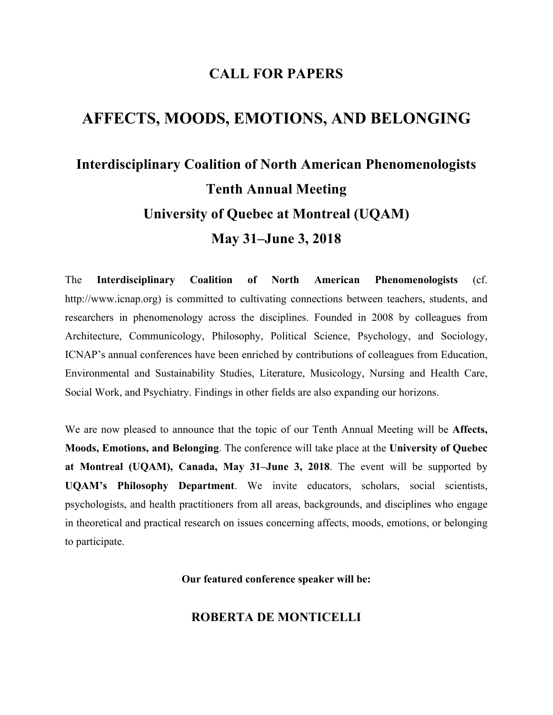## **CALL FOR PAPERS**

# **AFFECTS, MOODS, EMOTIONS, AND BELONGING**

# **Interdisciplinary Coalition of North American Phenomenologists Tenth Annual Meeting University of Quebec at Montreal (UQAM) May 31–June 3, 2018**

The **Interdisciplinary Coalition of North American Phenomenologists** (cf. http://www.icnap.org) is committed to cultivating connections between teachers, students, and researchers in phenomenology across the disciplines. Founded in 2008 by colleagues from Architecture, Communicology, Philosophy, Political Science, Psychology, and Sociology, ICNAP's annual conferences have been enriched by contributions of colleagues from Education, Environmental and Sustainability Studies, Literature, Musicology, Nursing and Health Care, Social Work, and Psychiatry. Findings in other fields are also expanding our horizons.

We are now pleased to announce that the topic of our Tenth Annual Meeting will be **Affects, Moods, Emotions, and Belonging**. The conference will take place at the **University of Quebec at Montreal (UQAM), Canada, May 31–June 3, 2018**. The event will be supported by **UQAM's Philosophy Department**. We invite educators, scholars, social scientists, psychologists, and health practitioners from all areas, backgrounds, and disciplines who engage in theoretical and practical research on issues concerning affects, moods, emotions, or belonging to participate.

**Our featured conference speaker will be:**

## **ROBERTA DE MONTICELLI**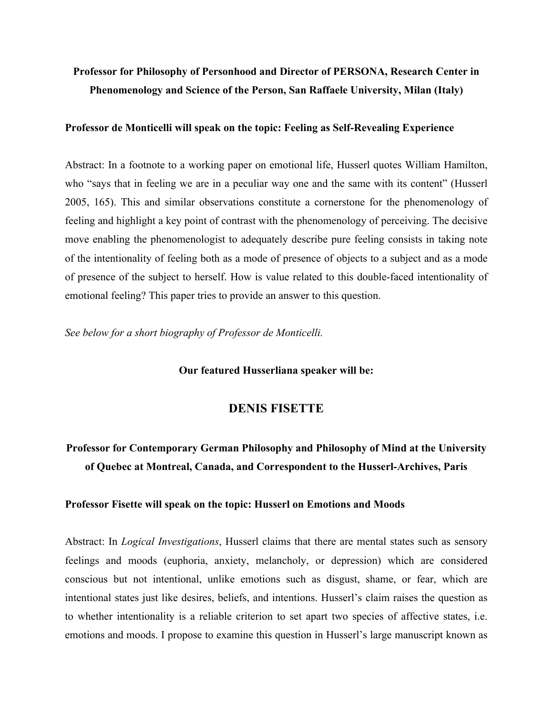# **Professor for Philosophy of Personhood and Director of PERSONA, Research Center in Phenomenology and Science of the Person, San Raffaele University, Milan (Italy)**

#### **Professor de Monticelli will speak on the topic: Feeling as Self-Revealing Experience**

Abstract: In a footnote to a working paper on emotional life, Husserl quotes William Hamilton, who "says that in feeling we are in a peculiar way one and the same with its content" (Husserl 2005, 165). This and similar observations constitute a cornerstone for the phenomenology of feeling and highlight a key point of contrast with the phenomenology of perceiving. The decisive move enabling the phenomenologist to adequately describe pure feeling consists in taking note of the intentionality of feeling both as a mode of presence of objects to a subject and as a mode of presence of the subject to herself. How is value related to this double-faced intentionality of emotional feeling? This paper tries to provide an answer to this question.

*See below for a short biography of Professor de Monticelli.*

#### **Our featured Husserliana speaker will be:**

## **DENIS FISETTE**

# **Professor for Contemporary German Philosophy and Philosophy of Mind at the University of Quebec at Montreal, Canada, and Correspondent to the Husserl-Archives, Paris**

#### **Professor Fisette will speak on the topic: Husserl on Emotions and Moods**

Abstract: In *Logical Investigations*, Husserl claims that there are mental states such as sensory feelings and moods (euphoria, anxiety, melancholy, or depression) which are considered conscious but not intentional, unlike emotions such as disgust, shame, or fear, which are intentional states just like desires, beliefs, and intentions. Husserl's claim raises the question as to whether intentionality is a reliable criterion to set apart two species of affective states, i.e. emotions and moods. I propose to examine this question in Husserl's large manuscript known as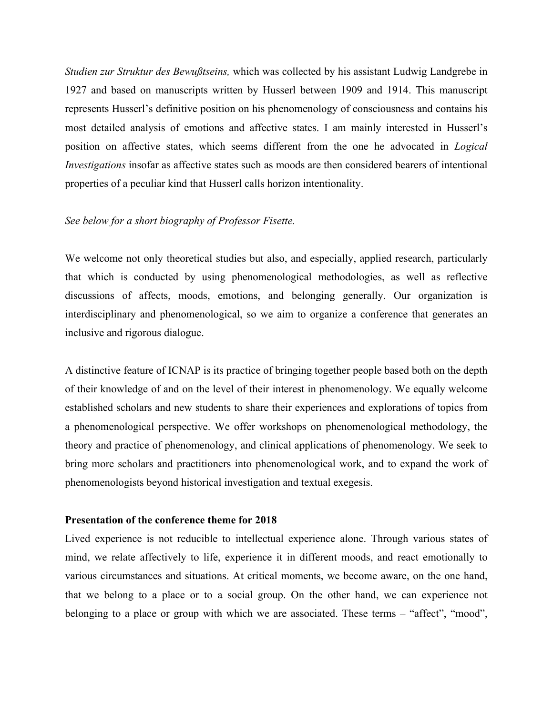*Studien zur Struktur des Bewußtseins,* which was collected by his assistant Ludwig Landgrebe in 1927 and based on manuscripts written by Husserl between 1909 and 1914. This manuscript represents Husserl's definitive position on his phenomenology of consciousness and contains his most detailed analysis of emotions and affective states. I am mainly interested in Husserl's position on affective states, which seems different from the one he advocated in *Logical Investigations* insofar as affective states such as moods are then considered bearers of intentional properties of a peculiar kind that Husserl calls horizon intentionality.

#### *See below for a short biography of Professor Fisette.*

We welcome not only theoretical studies but also, and especially, applied research, particularly that which is conducted by using phenomenological methodologies, as well as reflective discussions of affects, moods, emotions, and belonging generally. Our organization is interdisciplinary and phenomenological, so we aim to organize a conference that generates an inclusive and rigorous dialogue.

A distinctive feature of ICNAP is its practice of bringing together people based both on the depth of their knowledge of and on the level of their interest in phenomenology. We equally welcome established scholars and new students to share their experiences and explorations of topics from a phenomenological perspective. We offer workshops on phenomenological methodology, the theory and practice of phenomenology, and clinical applications of phenomenology. We seek to bring more scholars and practitioners into phenomenological work, and to expand the work of phenomenologists beyond historical investigation and textual exegesis.

#### **Presentation of the conference theme for 2018**

Lived experience is not reducible to intellectual experience alone. Through various states of mind, we relate affectively to life, experience it in different moods, and react emotionally to various circumstances and situations. At critical moments, we become aware, on the one hand, that we belong to a place or to a social group. On the other hand, we can experience not belonging to a place or group with which we are associated. These terms – "affect", "mood",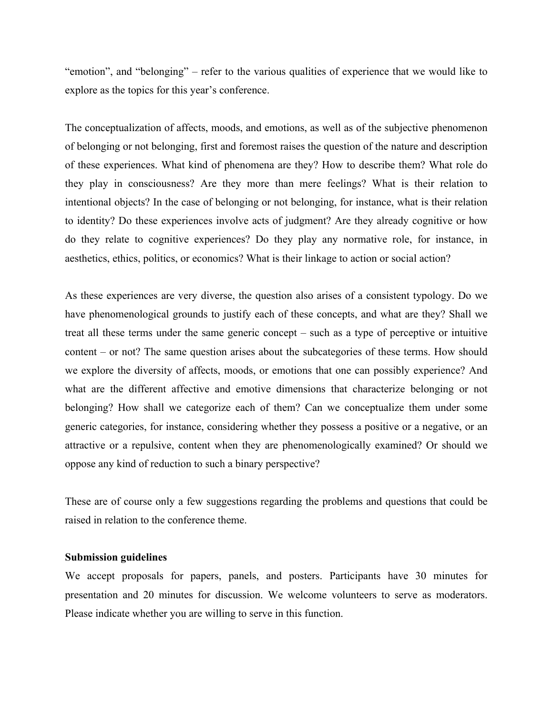"emotion", and "belonging" – refer to the various qualities of experience that we would like to explore as the topics for this year's conference.

The conceptualization of affects, moods, and emotions, as well as of the subjective phenomenon of belonging or not belonging, first and foremost raises the question of the nature and description of these experiences. What kind of phenomena are they? How to describe them? What role do they play in consciousness? Are they more than mere feelings? What is their relation to intentional objects? In the case of belonging or not belonging, for instance, what is their relation to identity? Do these experiences involve acts of judgment? Are they already cognitive or how do they relate to cognitive experiences? Do they play any normative role, for instance, in aesthetics, ethics, politics, or economics? What is their linkage to action or social action?

As these experiences are very diverse, the question also arises of a consistent typology. Do we have phenomenological grounds to justify each of these concepts, and what are they? Shall we treat all these terms under the same generic concept – such as a type of perceptive or intuitive content – or not? The same question arises about the subcategories of these terms. How should we explore the diversity of affects, moods, or emotions that one can possibly experience? And what are the different affective and emotive dimensions that characterize belonging or not belonging? How shall we categorize each of them? Can we conceptualize them under some generic categories, for instance, considering whether they possess a positive or a negative, or an attractive or a repulsive, content when they are phenomenologically examined? Or should we oppose any kind of reduction to such a binary perspective?

These are of course only a few suggestions regarding the problems and questions that could be raised in relation to the conference theme.

#### **Submission guidelines**

We accept proposals for papers, panels, and posters. Participants have 30 minutes for presentation and 20 minutes for discussion. We welcome volunteers to serve as moderators. Please indicate whether you are willing to serve in this function.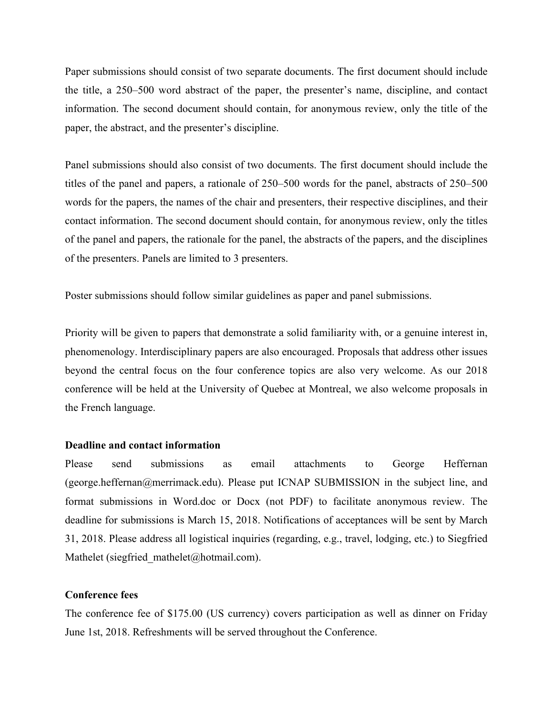Paper submissions should consist of two separate documents. The first document should include the title, a 250–500 word abstract of the paper, the presenter's name, discipline, and contact information. The second document should contain, for anonymous review, only the title of the paper, the abstract, and the presenter's discipline.

Panel submissions should also consist of two documents. The first document should include the titles of the panel and papers, a rationale of 250–500 words for the panel, abstracts of 250–500 words for the papers, the names of the chair and presenters, their respective disciplines, and their contact information. The second document should contain, for anonymous review, only the titles of the panel and papers, the rationale for the panel, the abstracts of the papers, and the disciplines of the presenters. Panels are limited to 3 presenters.

Poster submissions should follow similar guidelines as paper and panel submissions.

Priority will be given to papers that demonstrate a solid familiarity with, or a genuine interest in, phenomenology. Interdisciplinary papers are also encouraged. Proposals that address other issues beyond the central focus on the four conference topics are also very welcome. As our 2018 conference will be held at the University of Quebec at Montreal, we also welcome proposals in the French language.

## **Deadline and contact information**

Please send submissions as email attachments to George Heffernan (george.heffernan@merrimack.edu). Please put ICNAP SUBMISSION in the subject line, and format submissions in Word.doc or Docx (not PDF) to facilitate anonymous review. The deadline for submissions is March 15, 2018. Notifications of acceptances will be sent by March 31, 2018. Please address all logistical inquiries (regarding, e.g., travel, lodging, etc.) to Siegfried Mathelet (siegfried mathelet@hotmail.com).

### **Conference fees**

The conference fee of \$175.00 (US currency) covers participation as well as dinner on Friday June 1st, 2018. Refreshments will be served throughout the Conference.